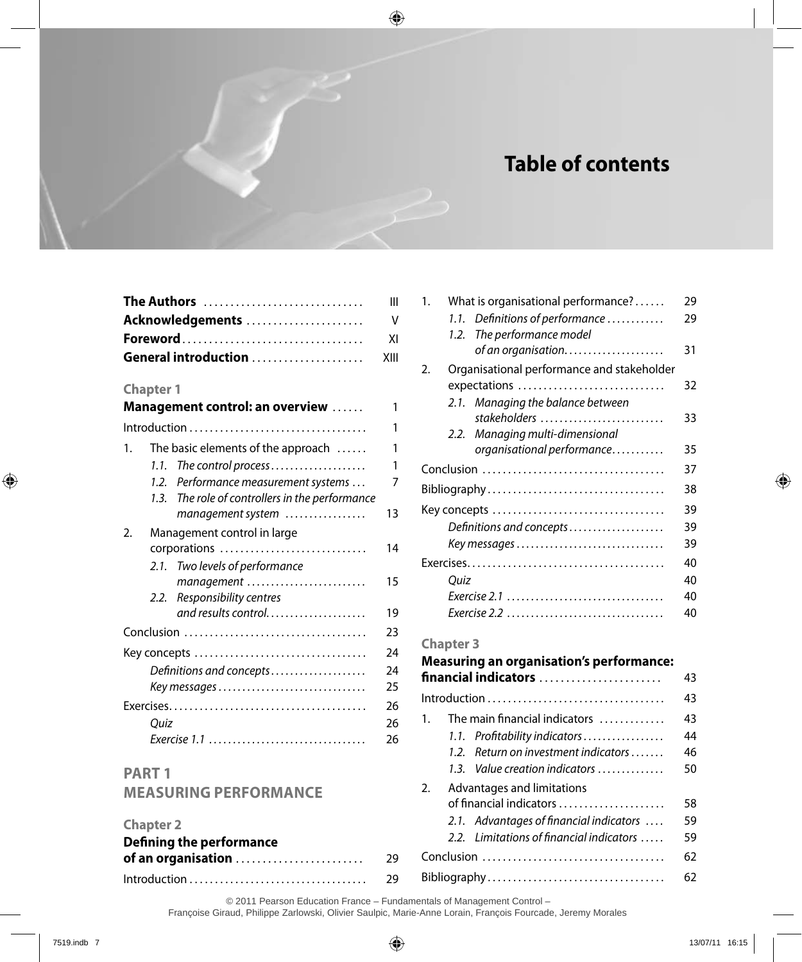# **Table of contents**

1. What is organisational performance? . . . . . 29 *1.1. Definitions of performance. .* 29

2. Organisational performance and stakeholder

Conclusion . . . . . . . . . . . . . . . . . . . . . . . . . . . . . . . . . . . 37 Bibliography . . . . . . . . . . . . . . . . . . . . . . . . . . . . . . . . . . 38 Key concepts . . . . . . . . . . . . . . . . . . . . . . . . . . . . . . . . . 39 *Definitions and concepts. .* 39 *Key messages. .* 39 Exercises . . . . . . . . . . . . . . . . . . . . . . . . . . . . . . . . . . . . . . 40 *Quiz* 40 *Exercise 2.1. .* 40 *Exercise 2.2. .* 40

**Measuring an organisation's performance: financial indicators** . . . . . . . . . . . . . . . . . . . . . . . 43 Introduction . . . . . . . . . . . . . . . . . . . . . . . . . . . . . . . . . . 43 1. The main financial indicators  $\dots \dots \dots$  43 *1.1. Profitability indicators. .* 44 1.2. Return on investment indicators . . . . . . 46

*2.1. Managing the balance between* 

*2.2. Managing multi-dimensional* 

*of an organisation.....................* 31

*stakeholders. .* 33

*organisational performance..........* 35

expectations . . . . . . . . . . . . . . . . . . . . . . . . . . . . 32

*1.2. The performance model* 

| Ш |
|---|
|   |
|   |
|   |

#### **Chapter 1**

|    |      | Management control: an overview            | 1  |
|----|------|--------------------------------------------|----|
|    |      |                                            | 1  |
| 1. |      | The basic elements of the approach         | 1  |
|    | 1.1. | The control process                        | 1  |
|    | 12   | Performance measurement systems            | 7  |
|    | 1.3. | The role of controllers in the performance |    |
|    |      | management system                          | 13 |
| 2. |      | Management control in large                |    |
|    |      | corporations                               | 14 |
|    |      | 2.1. Two levels of performance             |    |
|    |      | management                                 | 15 |
|    |      | 2.2. Responsibility centres                |    |
|    |      | and results control                        | 19 |
|    |      |                                            | 23 |
|    |      |                                            | 24 |
|    |      | Definitions and concepts                   | 24 |
|    |      |                                            | 25 |
|    |      |                                            | 26 |
|    | Quiz |                                            | 26 |
|    |      |                                            | 26 |

#### **PaRT 1 Measuring performance Chapter 2 Defining the performance of an organisation** . . . . . . . . . . . . . . . . . . . . . . . . 29 Introduction . . . . . . . . . . . . . . . . . . . . . . . . . . . . . . . . . . 29 *1.3. Value creation indicators ..............* 50 2. Advantages and limitations of financial indicators . . . . . . . . . . . . . . . . . . . . 58 *2.1. Advantages of financial indicators .* 59 2.2. Limitations of financial indicators ..... 59 Conclusion . . . . . . . . . . . . . . . . . . . . . . . . . . . . . . . . . . . 62 Bibliography . . . . . . . . . . . . . . . . . . . . . . . . . . . . . . . . . . 62

**Chapter 3**

© 2011 Pearson Education France – Fundamentals of Management Control –

Françoise Giraud, Philippe Zarlowski, Olivier Saulpic, Marie-Anne Lorain, François Fourcade, Jeremy Morales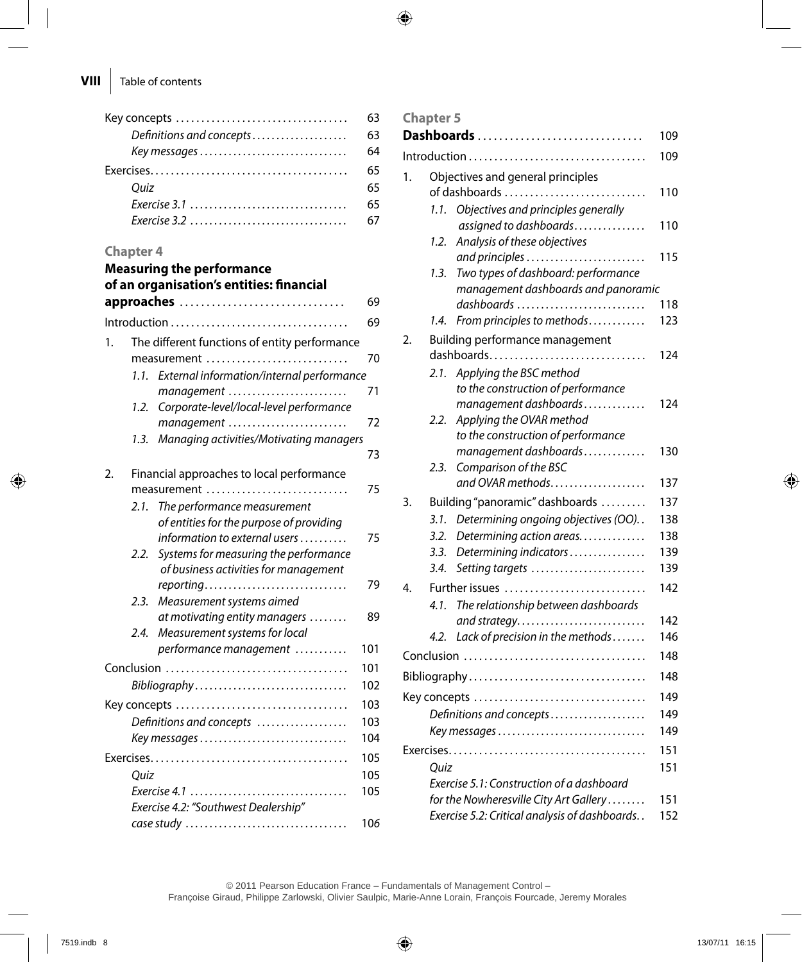|                          | 63 |
|--------------------------|----|
| Definitions and concepts | 63 |
|                          | 64 |
|                          |    |
| Ouiz                     | 65 |
|                          | 65 |
|                          | 67 |

#### **Chapter 4**

|    |      | <b>Measuring the performance</b>                       |     |
|----|------|--------------------------------------------------------|-----|
|    |      | of an organisation's entities: financial<br>approaches | 69  |
|    |      |                                                        | 69  |
|    |      |                                                        |     |
| 1. |      | The different functions of entity performance          |     |
|    |      | measurement                                            | 70  |
|    | 1.1. | External information/internal performance              |     |
|    |      | management                                             | 71  |
|    | 1.2. | Corporate-level/local-level performance                |     |
|    |      | management                                             | 72  |
|    | 1.3. | Managing activities/Motivating managers                |     |
|    |      |                                                        | 73  |
| 2. |      | Financial approaches to local performance              |     |
|    |      | measurement                                            | 75  |
|    | 2.1. | The performance measurement                            |     |
|    |      | of entities for the purpose of providing               |     |
|    |      | information to external users                          | 75  |
|    |      | 2.2. Systems for measuring the performance             |     |
|    |      | of business activities for management                  |     |
|    |      | reporting                                              | 79  |
|    | 2.3. | Measurement systems aimed                              |     |
|    |      | at motivating entity managers                          | 89  |
|    | 2.4. | Measurement systems for local                          |     |
|    |      | performance management                                 | 101 |
|    |      |                                                        | 101 |
|    |      | Bibliography                                           | 102 |
|    |      |                                                        | 103 |
|    |      | Definitions and concepts                               | 103 |
|    |      | Key messages                                           | 104 |
|    |      |                                                        | 105 |
|    | Quiz |                                                        | 105 |
|    |      |                                                        | 105 |
|    |      | Exercise 4.2: "Southwest Dealership"                   |     |
|    |      |                                                        | 106 |
|    |      |                                                        |     |

### **Chapter 5**

|    |                                   | Dashboards                                                  | 109 |
|----|-----------------------------------|-------------------------------------------------------------|-----|
|    |                                   |                                                             | 109 |
| 1. | Objectives and general principles |                                                             |     |
|    | of dashboards<br>110              |                                                             |     |
|    | 1.1.                              | Objectives and principles generally                         |     |
|    |                                   | assigned to dashboards                                      | 110 |
|    | 1.2.                              | Analysis of these objectives                                |     |
|    |                                   | and principles                                              | 115 |
|    | 1.3.                              | Two types of dashboard: performance                         |     |
|    |                                   | management dashboards and panoramic                         |     |
|    |                                   | dashboards                                                  | 118 |
|    | 1.4.                              | From principles to methods                                  | 123 |
| 2. |                                   | Building performance management                             |     |
|    |                                   | dashboards                                                  | 124 |
|    | 2.1.                              | Applying the BSC method                                     |     |
|    |                                   | to the construction of performance<br>management dashboards | 124 |
|    | 2.2.                              | Applying the OVAR method                                    |     |
|    |                                   | to the construction of performance                          |     |
|    |                                   | management dashboards                                       | 130 |
|    | 2.3.                              | Comparison of the BSC                                       |     |
|    |                                   | and OVAR methods                                            | 137 |
| 3. |                                   | Building "panoramic" dashboards                             | 137 |
|    | 3.1.                              | Determining ongoing objectives (OO)                         | 138 |
|    | 3.2.                              | Determining action areas                                    | 138 |
|    | 3.3.                              | Determining indicators                                      | 139 |
|    | 3.4.                              | Setting targets                                             | 139 |
| 4. |                                   | Further issues                                              | 142 |
|    | 4.1.                              | The relationship between dashboards                         |     |
|    |                                   | and strategy                                                | 142 |
|    | 4.2.                              | Lack of precision in the methods                            | 146 |
|    |                                   | Conclusion                                                  | 148 |
|    |                                   |                                                             | 148 |
|    |                                   |                                                             | 149 |
|    |                                   | Definitions and concepts                                    | 149 |
|    |                                   | Key messages                                                | 149 |
|    |                                   |                                                             | 151 |
|    | Ouiz                              |                                                             | 151 |
|    |                                   | Exercise 5.1: Construction of a dashboard                   |     |
|    |                                   | for the Nowheresville City Art Gallery                      | 151 |
|    |                                   | Exercise 5.2: Critical analysis of dashboards               | 152 |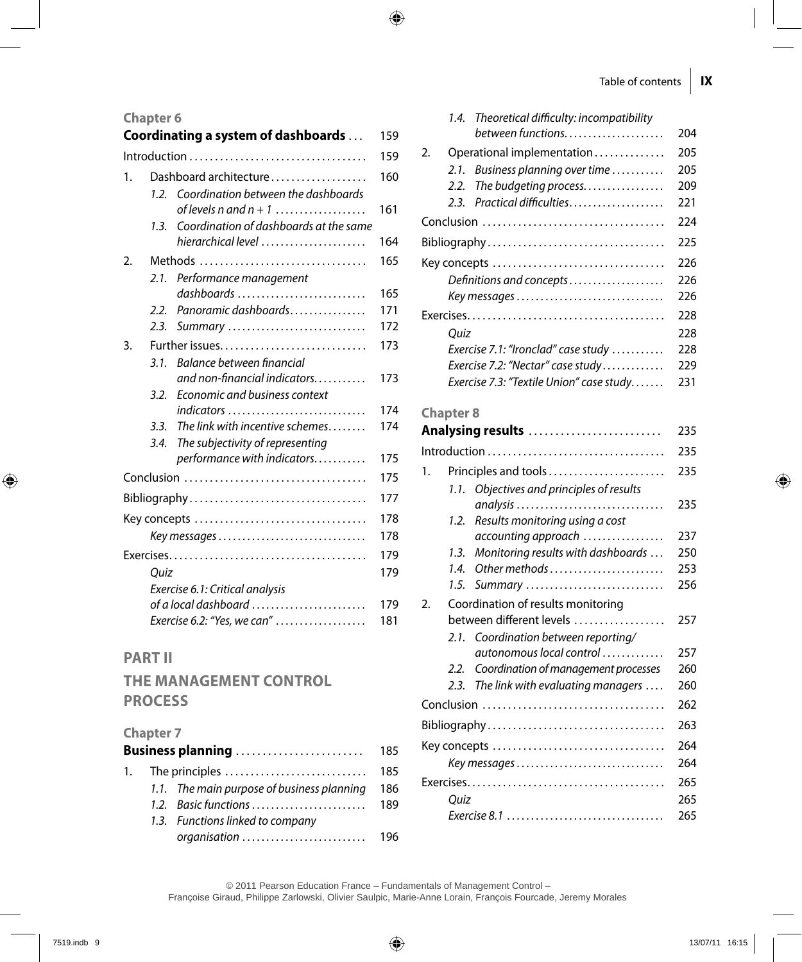#### **Chapter 6**

|    |                        | Coordinating a system of dashboards                                                          | 159 |  |
|----|------------------------|----------------------------------------------------------------------------------------------|-----|--|
|    |                        | $Introduction \dots \dots \dots \dots \dots \dots \dots \dots \dots \dots \dots \dots \dots$ | 159 |  |
| 1. | Dashboard architecture |                                                                                              |     |  |
|    | 1.2.                   | Coordination between the dashboards                                                          |     |  |
|    | 1.3.                   | of levels $n$ and $n + 1$<br>Coordination of dashboards at the same                          | 161 |  |
|    |                        | hierarchical level $\ldots \ldots \ldots \ldots \ldots \ldots$                               | 164 |  |
| 2. |                        | Methods                                                                                      | 165 |  |
|    | 2.1.                   | Performance management                                                                       |     |  |
|    |                        | dashboards                                                                                   | 165 |  |
|    | 2.2.                   | Panoramic dashboards                                                                         | 171 |  |
|    | 2.3.                   | Summary                                                                                      | 172 |  |
| 3. |                        |                                                                                              | 173 |  |
|    | 3.1.                   | Balance between financial                                                                    |     |  |
|    |                        | and non-financial indicators                                                                 | 173 |  |
|    | 3.2.                   | Economic and business context                                                                |     |  |
|    |                        | indicators                                                                                   | 174 |  |
|    | 3.3.                   | The link with incentive schemes                                                              | 174 |  |
|    | 3.4.                   | The subjectivity of representing                                                             |     |  |
|    |                        | performance with indicators                                                                  | 175 |  |
|    |                        |                                                                                              | 175 |  |
|    |                        |                                                                                              | 177 |  |
|    |                        |                                                                                              | 178 |  |
|    |                        | Key messages                                                                                 | 178 |  |
|    |                        |                                                                                              | 179 |  |
|    | Quiz                   |                                                                                              | 179 |  |
|    |                        | Exercise 6.1: Critical analysis                                                              |     |  |
|    |                        | of a local dashboard                                                                         | 179 |  |
|    |                        | Exercise 6.2: "Yes, we can"                                                                  | 181 |  |
|    |                        |                                                                                              |     |  |

## **Part II**

## **The management control process**

#### **Chapter 7**

| Business planning |  |                                                                             | 185 |
|-------------------|--|-----------------------------------------------------------------------------|-----|
|                   |  | 1. The principles $\dots\dots\dots\dots\dots\dots\dots\dots\dots\dots\dots$ | 185 |
|                   |  | 1.1. The main purpose of business planning                                  | 186 |
|                   |  | 1.2. Basic functions                                                        | 189 |
|                   |  | 1.3. Functions linked to company                                            |     |
|                   |  |                                                                             |     |

| 1.4. Theoretical difficulty: incompatibility        |     |  |
|-----------------------------------------------------|-----|--|
| between functions                                   | 204 |  |
| $\mathcal{D}_{\cdot}$<br>Operational implementation | 205 |  |
| Business planning over time<br>2.1.                 | 205 |  |
| The budgeting process<br>2.2.                       | 209 |  |
| Practical difficulties<br>2.3.                      | 221 |  |
|                                                     | 224 |  |
| Bibliography                                        | 225 |  |
| Key concepts                                        |     |  |
| Definitions and concepts                            |     |  |
| Key messages                                        | 226 |  |
|                                                     | 228 |  |
| Ouiz                                                | 228 |  |
| Exercise 7.1: "Ironclad" case study                 | 228 |  |
| Exercise 7.2: "Nectar" case study                   | 229 |  |
| Exercise 7.3: "Textile Union" case study            | 231 |  |

#### **Chapter 8**

|    |                                    | Analysing results                         | 235 |  |
|----|------------------------------------|-------------------------------------------|-----|--|
|    |                                    |                                           | 235 |  |
| 1. | Principles and tools               |                                           |     |  |
|    | 1.1.                               | Objectives and principles of results      |     |  |
|    |                                    | analysis                                  | 235 |  |
|    | 1.2.                               | Results monitoring using a cost           |     |  |
|    |                                    | accounting approach                       | 237 |  |
|    | 1.3.                               | Monitoring results with dashboards        | 250 |  |
|    | 1.4.                               | Other methods                             | 253 |  |
|    | 1.5.                               | Summary                                   | 256 |  |
| 2. | Coordination of results monitoring |                                           |     |  |
|    |                                    | between different levels                  | 257 |  |
|    | 2.1                                | Coordination between reporting/           |     |  |
|    |                                    | autonomous local control                  | 257 |  |
|    | 2.2.                               | Coordination of management processes      | 260 |  |
|    | 2.3.                               | The link with evaluating managers $\dots$ | 260 |  |
|    |                                    |                                           | 262 |  |
|    |                                    |                                           | 263 |  |
|    |                                    | Key concepts                              | 264 |  |
|    |                                    | Key messages                              | 264 |  |
|    |                                    |                                           | 265 |  |
|    | Ouiz                               |                                           | 265 |  |
|    |                                    |                                           | 265 |  |